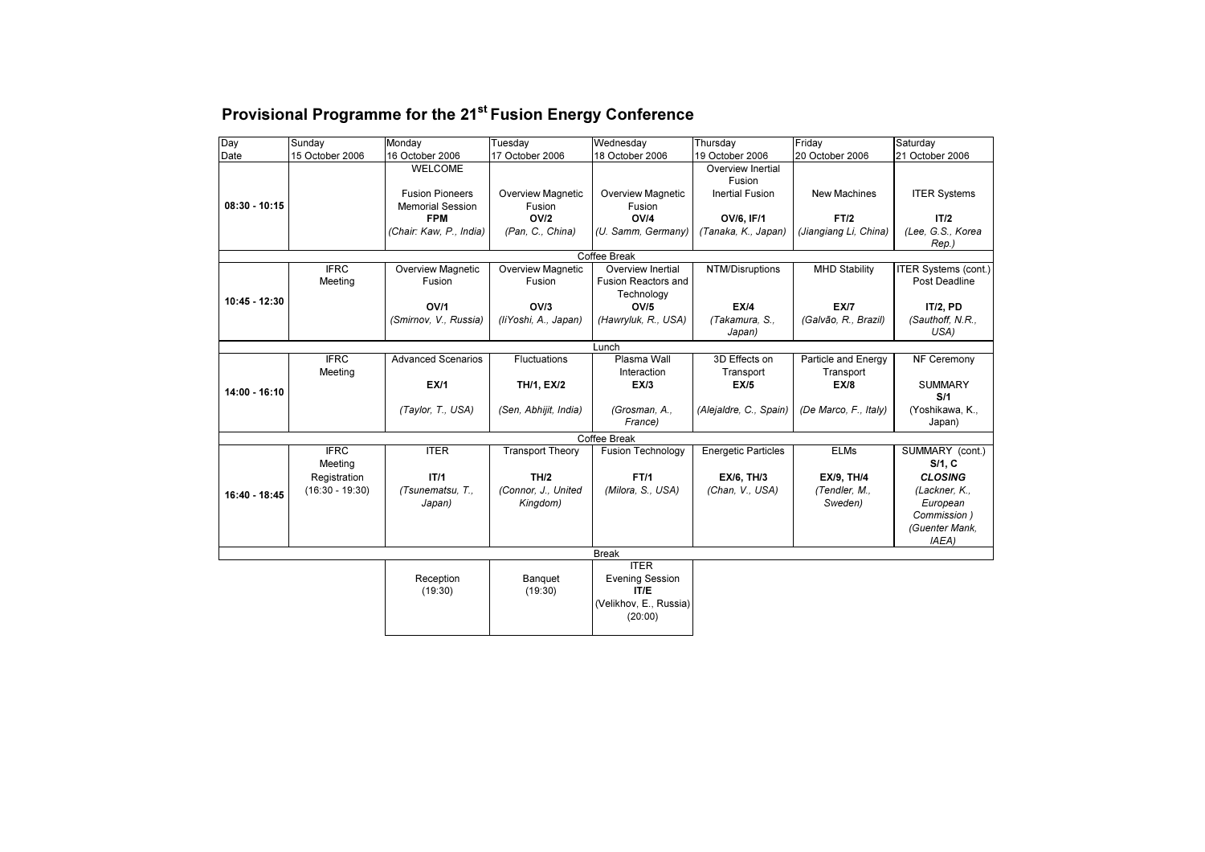| Provisional Programme for the 21 <sup>st</sup> Fusion Energy Conference |  |  |
|-------------------------------------------------------------------------|--|--|
|-------------------------------------------------------------------------|--|--|

| Day             | Sunday                 | Monday                             | Tuesday                            | Wednesday                                                     | Thursday                    | Friday                           | Saturday                                     |
|-----------------|------------------------|------------------------------------|------------------------------------|---------------------------------------------------------------|-----------------------------|----------------------------------|----------------------------------------------|
| Date            | 15 October 2006        | 16 October 2006                    | 17 October 2006                    | 18 October 2006                                               | 19 October 2006             | 20 October 2006                  | 21 October 2006                              |
|                 |                        | <b>WELCOME</b>                     |                                    |                                                               | Overview Inertial<br>Fusion |                                  |                                              |
|                 |                        | <b>Fusion Pioneers</b>             | <b>Overview Magnetic</b>           | <b>Overview Magnetic</b>                                      | <b>Inertial Fusion</b>      | <b>New Machines</b>              | <b>ITER Systems</b>                          |
| $08:30 - 10:15$ |                        | <b>Memorial Session</b>            | Fusion                             | Fusion                                                        |                             |                                  |                                              |
|                 |                        | <b>FPM</b>                         | OV/2                               | OVI4                                                          | OV/6, IF/1                  | FT/2                             | IT/2                                         |
|                 |                        | (Chair: Kaw, P., India)            | (Pan, C., China)                   | (U. Samm, Germany)                                            | (Tanaka, K., Japan)         | (Jiangiang Li, China)            | (Lee, G.S., Korea<br>Rep.)                   |
|                 |                        |                                    |                                    | Coffee Break                                                  |                             |                                  |                                              |
|                 | <b>IFRC</b><br>Meeting | <b>Overview Magnetic</b><br>Fusion | <b>Overview Magnetic</b><br>Fusion | Overview Inertial<br><b>Fusion Reactors and</b><br>Technology | NTM/Disruptions             | <b>MHD Stability</b>             | <b>ITER Systems (cont.)</b><br>Post Deadline |
| 10:45 - 12:30   |                        | OV/1                               | OV/3                               | OV/5                                                          | EX/4                        | <b>EX/7</b>                      | <b>IT/2, PD</b>                              |
|                 |                        | (Smirnov, V., Russia)              | (liYoshi, A., Japan)               | (Hawryluk, R., USA)                                           | (Takamura, S.,<br>Japan)    | (Galvão, R., Brazil)             | (Sauthoff, N.R.,<br>USA)                     |
|                 |                        |                                    |                                    | Lunch                                                         |                             |                                  |                                              |
|                 | <b>IFRC</b><br>Meeting | <b>Advanced Scenarios</b>          | <b>Fluctuations</b>                | Plasma Wall<br>Interaction                                    | 3D Effects on<br>Transport  | Particle and Energy<br>Transport | NF Ceremony                                  |
| 14:00 - 16:10   |                        | EX/1                               | TH/1, EX/2                         | EX/3                                                          | EX/5                        | EX/8                             | <b>SUMMARY</b><br>S/1                        |
|                 |                        | (Taylor, T., USA)                  | (Sen, Abhijit, India)              | (Grosman, A.,<br>France)                                      | (Alejaldre, C., Spain)      | (De Marco, F., Italy)            | (Yoshikawa, K.,<br>Japan)                    |
|                 |                        |                                    |                                    | Coffee Break                                                  |                             |                                  |                                              |
|                 | <b>IFRC</b><br>Meeting | <b>ITER</b>                        | <b>Transport Theory</b>            | <b>Fusion Technology</b>                                      | <b>Energetic Particles</b>  | <b>ELMs</b>                      | SUMMARY (cont.)<br>S/1, C                    |
|                 | Registration           | IT/1                               | TH/2                               | FT/1                                                          | <b>EX/6, TH/3</b>           | <b>EX/9, TH/4</b>                | <b>CLOSING</b>                               |
| 16:40 - 18:45   | $(16:30 - 19:30)$      | (Tsunematsu, T.,<br>Japan)         | (Connor, J., United<br>Kingdom)    | (Milora, S., USA)                                             | (Chan, V., USA)             | (Tendler, M.,<br>Sweden)         | (Lackner, K.,<br>European                    |
|                 |                        |                                    |                                    |                                                               |                             |                                  | Commission)                                  |
|                 |                        |                                    |                                    |                                                               |                             |                                  | (Guenter Mank,<br>(AEA                       |
|                 |                        |                                    |                                    | <b>Break</b>                                                  |                             |                                  |                                              |
|                 |                        | Reception<br>(19:30)               | Banquet<br>(19:30)                 | <b>ITER</b><br><b>Evening Session</b><br>IT/E                 |                             |                                  |                                              |
|                 |                        |                                    |                                    | (Velikhov, E., Russia)<br>(20:00)                             |                             |                                  |                                              |
|                 |                        |                                    |                                    |                                                               |                             |                                  |                                              |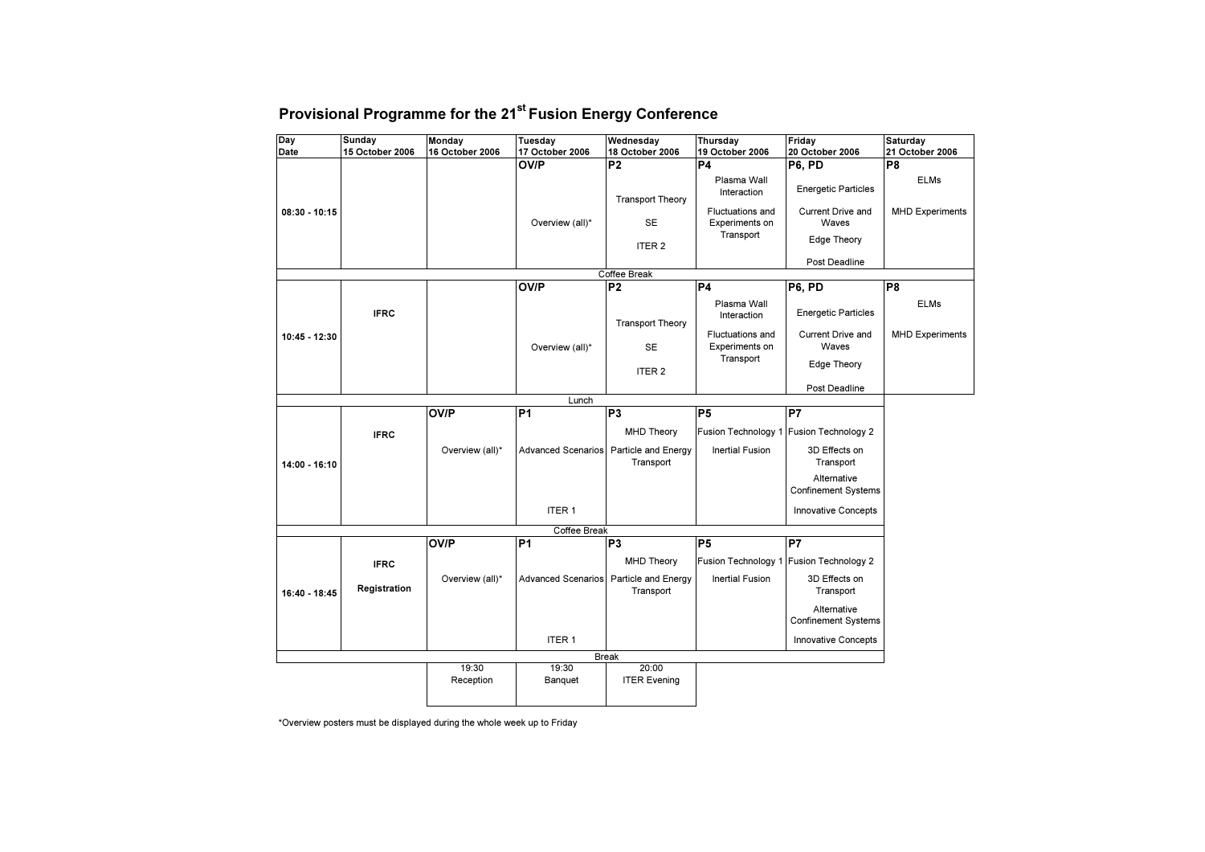| Day             | Sunday          | Monday             | Tuesday                   | Wednesday                        | Thursday                                  | Friday                                    | Saturday               |
|-----------------|-----------------|--------------------|---------------------------|----------------------------------|-------------------------------------------|-------------------------------------------|------------------------|
| Date            | 15 October 2006 | 16 October 2006    | 17 October 2006           | 18 October 2006                  | 19 October 2006                           | 20 October 2006                           | 21 October 2006        |
|                 |                 |                    | OV/P                      | P <sub>2</sub>                   | P <sub>4</sub><br>Plasma Wall             | P6, PD                                    | P8<br><b>ELMs</b>      |
|                 |                 |                    |                           | <b>Transport Theory</b>          | Interaction                               | <b>Energetic Particles</b>                |                        |
| $08:30 - 10:15$ |                 |                    | Overview (all)*           | <b>SE</b>                        | <b>Fluctuations and</b><br>Experiments on | <b>Current Drive and</b><br>Waves         | <b>MHD Experiments</b> |
|                 |                 |                    |                           | ITER <sub>2</sub>                | Transport                                 | <b>Edge Theory</b>                        |                        |
|                 |                 |                    |                           |                                  |                                           | Post Deadline                             |                        |
|                 |                 |                    |                           | Coffee Break                     |                                           |                                           |                        |
|                 |                 |                    | <b>OV/P</b>               | P <sub>2</sub>                   | P <sub>4</sub>                            | P6, PD                                    | P <sub>8</sub>         |
|                 | <b>IFRC</b>     |                    |                           | <b>Transport Theory</b>          | Plasma Wall<br>Interaction                | <b>Energetic Particles</b>                | <b>ELMs</b>            |
| 10:45 - 12:30   |                 |                    | Overview (all)*           | <b>SE</b>                        | <b>Fluctuations and</b><br>Experiments on | <b>Current Drive and</b><br>Waves         | <b>MHD Experiments</b> |
|                 |                 |                    |                           | ITER <sub>2</sub>                | Transport                                 | <b>Edge Theory</b>                        |                        |
|                 |                 |                    |                           |                                  |                                           | Post Deadline                             |                        |
|                 |                 |                    | Lunch                     |                                  |                                           |                                           |                        |
|                 |                 | <b>OV/P</b>        | P <sub>1</sub>            | P <sub>3</sub>                   | P <sub>5</sub>                            | P7                                        |                        |
|                 | <b>IFRC</b>     |                    |                           | <b>MHD Theory</b>                |                                           | Fusion Technology 1 Fusion Technology 2   |                        |
| 14:00 - 16:10   |                 | Overview (all)*    | <b>Advanced Scenarios</b> | Particle and Energy<br>Transport | <b>Inertial Fusion</b>                    | 3D Effects on<br>Transport                |                        |
|                 |                 |                    |                           |                                  |                                           | Alternative<br><b>Confinement Systems</b> |                        |
|                 |                 |                    | ITER <sub>1</sub>         |                                  |                                           | Innovative Concepts                       |                        |
|                 |                 |                    | Coffee Break              |                                  |                                           |                                           |                        |
|                 |                 | <b>OV/P</b>        | P <sub>1</sub>            | P <sub>3</sub>                   | P <sub>5</sub>                            | P7                                        |                        |
|                 | <b>IFRC</b>     |                    |                           | <b>MHD Theory</b>                |                                           | Fusion Technology 1 Fusion Technology 2   |                        |
| 16:40 - 18:45   | Registration    | Overview (all)*    | <b>Advanced Scenarios</b> | Particle and Energy<br>Transport | <b>Inertial Fusion</b>                    | 3D Effects on<br>Transport                |                        |
|                 |                 |                    |                           |                                  |                                           | Alternative<br><b>Confinement Systems</b> |                        |
|                 |                 |                    | <b>ITER1</b>              |                                  |                                           | Innovative Concepts                       |                        |
|                 |                 |                    |                           | <b>Break</b>                     |                                           |                                           |                        |
|                 |                 | 19:30<br>Reception | 19:30<br>Banquet          | 20:00<br><b>ITER Evening</b>     |                                           |                                           |                        |
|                 |                 |                    |                           |                                  |                                           |                                           |                        |

\*Overview posters must be displayed during the whole week up to Friday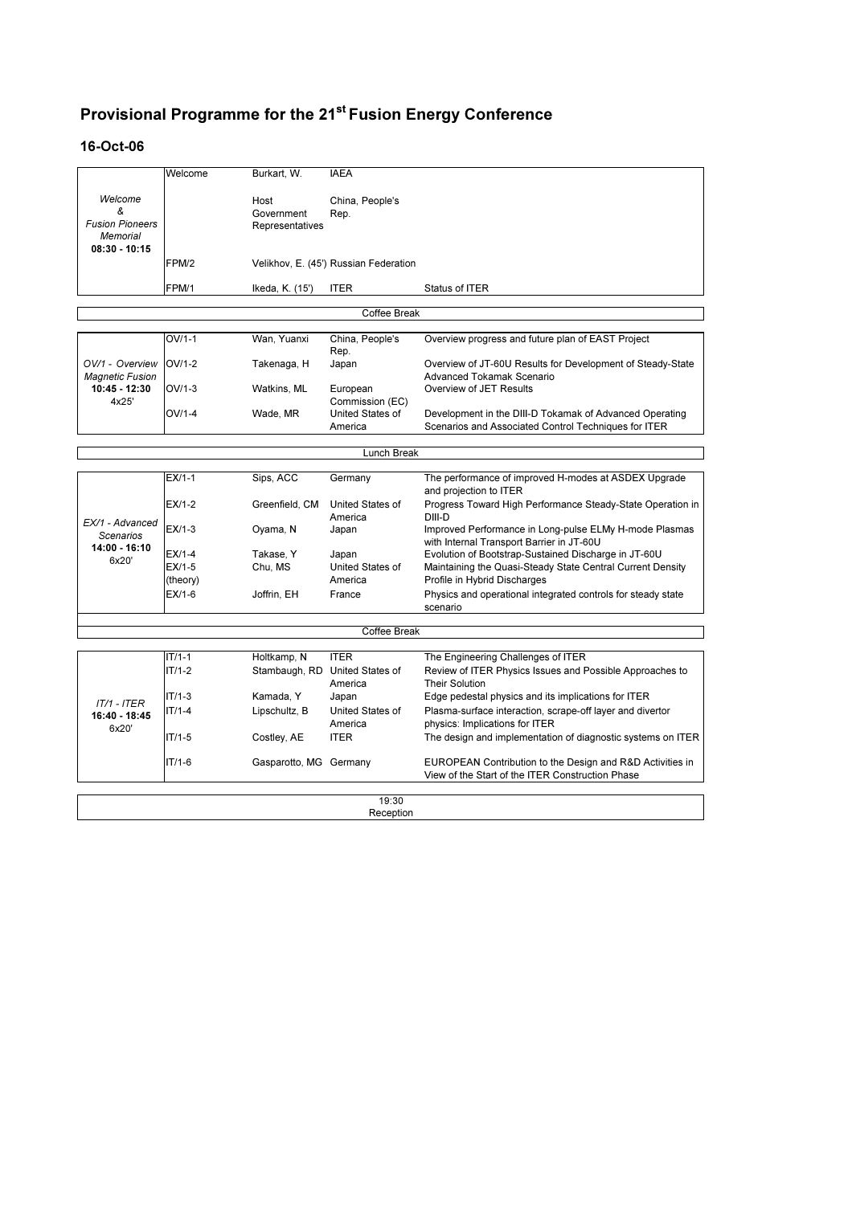#### 16-Oct-06

|                                           | Welcome  | Burkart, W.            | <b>IAEA</b>                               |                                                                                                               |
|-------------------------------------------|----------|------------------------|-------------------------------------------|---------------------------------------------------------------------------------------------------------------|
|                                           |          |                        |                                           |                                                                                                               |
| Welcome<br>&                              |          | Host                   | China, People's                           |                                                                                                               |
| <b>Fusion Pioneers</b>                    |          | Government             | Rep.                                      |                                                                                                               |
| <b>Memorial</b>                           |          | Representatives        |                                           |                                                                                                               |
| $08:30 - 10:15$                           |          |                        |                                           |                                                                                                               |
|                                           | FPM/2    |                        | Velikhov, E. (45') Russian Federation     |                                                                                                               |
|                                           |          |                        |                                           |                                                                                                               |
|                                           | FPM/1    | Ikeda, K. (15')        | <b>ITER</b>                               | Status of ITER                                                                                                |
|                                           |          |                        | Coffee Break                              |                                                                                                               |
|                                           |          |                        |                                           |                                                                                                               |
|                                           | $OV/1-1$ | Wan, Yuanxi            | China, People's                           | Overview progress and future plan of EAST Project                                                             |
|                                           |          |                        | Rep.                                      |                                                                                                               |
| OV/1 - Overview<br><b>Magnetic Fusion</b> | $OV/1-2$ | Takenaga, H            | Japan                                     | Overview of JT-60U Results for Development of Steady-State<br>Advanced Tokamak Scenario                       |
| 10:45 - 12:30                             | $OV/1-3$ | Watkins, ML            | European                                  | Overview of JET Results                                                                                       |
| 4x25'                                     |          |                        | Commission (EC)                           |                                                                                                               |
|                                           | OV/1-4   | Wade, MR               | United States of                          | Development in the DIII-D Tokamak of Advanced Operating                                                       |
|                                           |          |                        | America                                   | Scenarios and Associated Control Techniques for ITER                                                          |
|                                           |          |                        |                                           |                                                                                                               |
|                                           |          |                        | Lunch Break                               |                                                                                                               |
|                                           |          |                        |                                           |                                                                                                               |
|                                           | $EX/1-1$ | Sips, ACC              | Germany                                   | The performance of improved H-modes at ASDEX Upgrade<br>and projection to ITER                                |
|                                           | $EX/1-2$ | Greenfield, CM         | United States of<br>America               | Progress Toward High Performance Steady-State Operation in<br>DIII-D                                          |
| EX/1 - Advanced<br><b>Scenarios</b>       | EX/1-3   | Oyama, N               | Japan                                     | Improved Performance in Long-pulse ELMy H-mode Plasmas<br>with Internal Transport Barrier in JT-60U           |
| 14:00 - 16:10                             | $EX/1-4$ | Takase, Y              | Japan                                     | Evolution of Bootstrap-Sustained Discharge in JT-60U                                                          |
| 6x20'                                     | $EX/1-5$ | Chu, MS                | <b>United States of</b>                   | Maintaining the Quasi-Steady State Central Current Density                                                    |
|                                           | (theory) |                        | America                                   | Profile in Hybrid Discharges                                                                                  |
|                                           | $EX/1-6$ | Joffrin, EH            | France                                    | Physics and operational integrated controls for steady state<br>scenario                                      |
|                                           |          |                        |                                           |                                                                                                               |
|                                           |          |                        | Coffee Break                              |                                                                                                               |
|                                           |          |                        |                                           |                                                                                                               |
|                                           | $IT/1-1$ | Holtkamp, N            | <b>ITER</b>                               | The Engineering Challenges of ITER                                                                            |
|                                           | $IT/1-2$ |                        | Stambaugh, RD United States of<br>America | Review of ITER Physics Issues and Possible Approaches to<br><b>Their Solution</b>                             |
| $IT/1 - ITER$                             | $IT/1-3$ | Kamada, Y              | Japan                                     | Edge pedestal physics and its implications for ITER                                                           |
| 16:40 - 18:45<br>6x20'                    | $IT/1-4$ | Lipschultz, B          | United States of<br>America               | Plasma-surface interaction, scrape-off layer and divertor<br>physics: Implications for ITER                   |
|                                           | $IT/1-5$ | Costley, AE            | <b>ITER</b>                               | The design and implementation of diagnostic systems on ITER                                                   |
|                                           | $IT/1-6$ | Gasparotto, MG Germany |                                           | EUROPEAN Contribution to the Design and R&D Activities in<br>View of the Start of the ITER Construction Phase |
|                                           |          |                        |                                           |                                                                                                               |
|                                           |          |                        | 19:30<br>Reception                        |                                                                                                               |
|                                           |          |                        |                                           |                                                                                                               |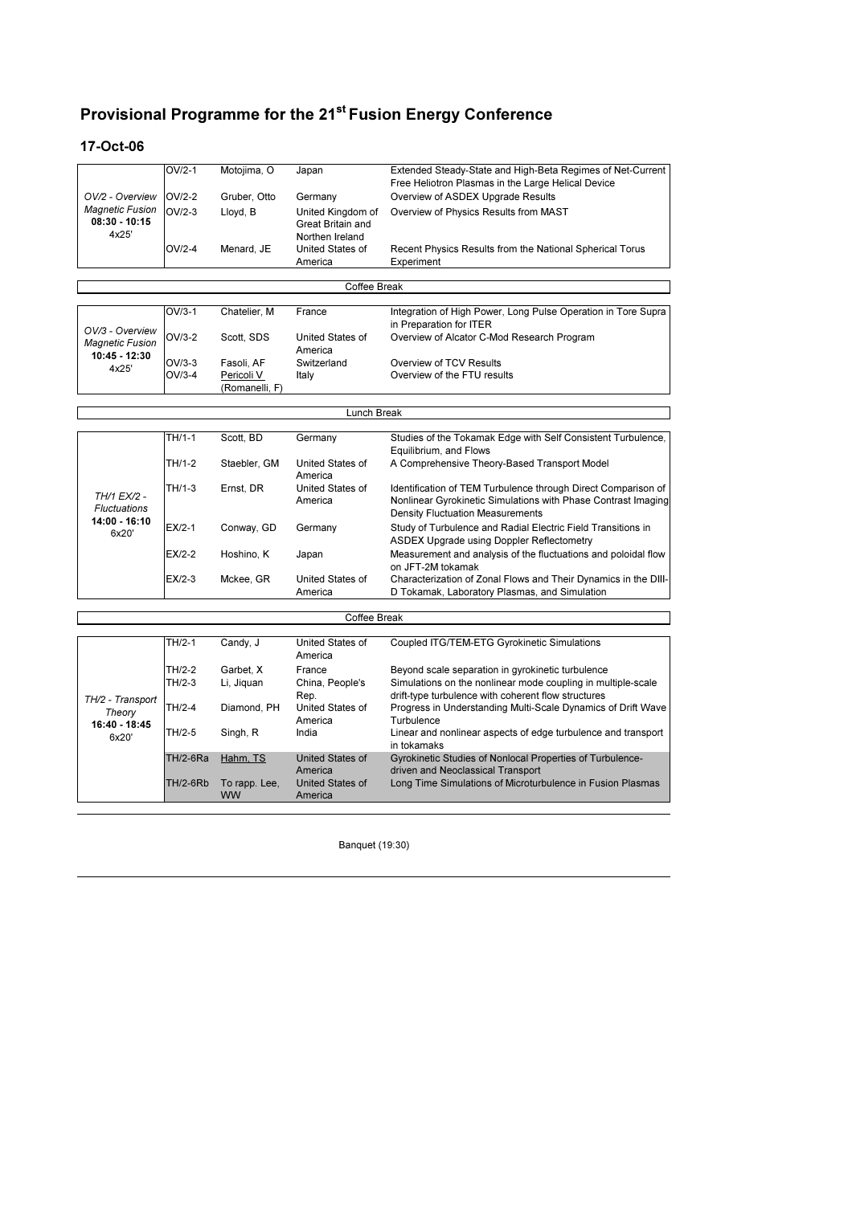#### 17-Oct-06

|                                                    | $OV/2-1$ | Motojima, O  | Japan                                                     | Extended Steady-State and High-Beta Regimes of Net-Current<br>Free Heliotron Plasmas in the Large Helical Device |
|----------------------------------------------------|----------|--------------|-----------------------------------------------------------|------------------------------------------------------------------------------------------------------------------|
| OV/2 - Overview                                    | $OV/2-2$ | Gruber, Otto | Germany                                                   | Overview of ASDEX Upgrade Results                                                                                |
| <b>Magnetic Fusion</b><br>$08:30 - 10:15$<br>4x25' | $OV/2-3$ | Lloyd, B     | United Kingdom of<br>Great Britain and<br>Northen Ireland | Overview of Physics Results from MAST                                                                            |
|                                                    | $OV/2-4$ | Menard, JE   | United States of<br>America                               | Recent Physics Results from the National Spherical Torus<br>Experiment                                           |

| Coffee Break                                               |                      |                                            |                             |                                                                                          |  |
|------------------------------------------------------------|----------------------|--------------------------------------------|-----------------------------|------------------------------------------------------------------------------------------|--|
|                                                            | $OV/3-1$             | Chatelier, M                               | France                      | Integration of High Power, Long Pulse Operation in Tore Supra<br>in Preparation for ITER |  |
| OV/3 - Overview<br><b>Magnetic Fusion</b><br>10:45 - 12:30 | $OV/3-2$             | Scott. SDS                                 | United States of<br>America | Overview of Alcator C-Mod Research Program                                               |  |
| 4x25'                                                      | $OV/3-3$<br>$OV/3-4$ | Fasoli, AF<br>Pericoli V<br>(Romanelli, F) | Switzerland<br>Italy        | Overview of TCV Results<br>Overview of the FTU results                                   |  |

|                                                              | Lunch Break |              |                             |                                                                                                                                                                           |  |  |
|--------------------------------------------------------------|-------------|--------------|-----------------------------|---------------------------------------------------------------------------------------------------------------------------------------------------------------------------|--|--|
|                                                              |             |              |                             |                                                                                                                                                                           |  |  |
|                                                              | TH/1-1      | Scott. BD    | Germany                     | Studies of the Tokamak Edge with Self Consistent Turbulence,<br>Equilibrium, and Flows                                                                                    |  |  |
|                                                              | TH/1-2      | Staebler, GM | United States of<br>America | A Comprehensive Theory-Based Transport Model                                                                                                                              |  |  |
| TH/1 EX/2 -<br><b>Fluctuations</b><br>14:00 - 16:10<br>6x20' | TH/1-3      | Ernst. DR    | United States of<br>America | Identification of TEM Turbulence through Direct Comparison of<br>Nonlinear Gyrokinetic Simulations with Phase Contrast Imaging<br><b>Density Fluctuation Measurements</b> |  |  |
|                                                              | $EX/2-1$    | Conway, GD   | Germany                     | Study of Turbulence and Radial Electric Field Transitions in<br>ASDEX Upgrade using Doppler Reflectometry                                                                 |  |  |
|                                                              | $EX/2-2$    | Hoshino, K   | Japan                       | Measurement and analysis of the fluctuations and poloidal flow<br>on JFT-2M tokamak                                                                                       |  |  |
|                                                              | $EX/2-3$    | Mckee, GR    | United States of<br>America | Characterization of Zonal Flows and Their Dynamics in the DIII-<br>D Tokamak, Laboratory Plasmas, and Simulation                                                          |  |  |

| Coffee Break                                         |                 |                            |                             |                                                                                                                     |  |  |
|------------------------------------------------------|-----------------|----------------------------|-----------------------------|---------------------------------------------------------------------------------------------------------------------|--|--|
|                                                      |                 |                            |                             |                                                                                                                     |  |  |
|                                                      | TH/2-1          | Candy, J                   | United States of<br>America | Coupled ITG/TEM-ETG Gyrokinetic Simulations                                                                         |  |  |
|                                                      | TH/2-2          | Garbet. X                  | France                      | Beyond scale separation in gyrokinetic turbulence                                                                   |  |  |
| TH/2 - Transport<br>Theory<br>16:40 - 18:45<br>6x20' | $TH/2-3$        | Li, Jiguan                 | China, People's<br>Rep.     | Simulations on the nonlinear mode coupling in multiple-scale<br>drift-type turbulence with coherent flow structures |  |  |
|                                                      | TH/2-4          | Diamond, PH                | United States of<br>America | Progress in Understanding Multi-Scale Dynamics of Drift Wave<br>Turbulence                                          |  |  |
|                                                      | TH/2-5          | Singh, R                   | India                       | Linear and nonlinear aspects of edge turbulence and transport<br>in tokamaks                                        |  |  |
|                                                      | <b>TH/2-6Ra</b> | Hahm, TS                   | United States of<br>America | Gyrokinetic Studies of Nonlocal Properties of Turbulence-<br>driven and Neoclassical Transport                      |  |  |
|                                                      | <b>TH/2-6Rb</b> | To rapp. Lee,<br><b>WW</b> | United States of<br>America | Long Time Simulations of Microturbulence in Fusion Plasmas                                                          |  |  |

Banquet (19:30)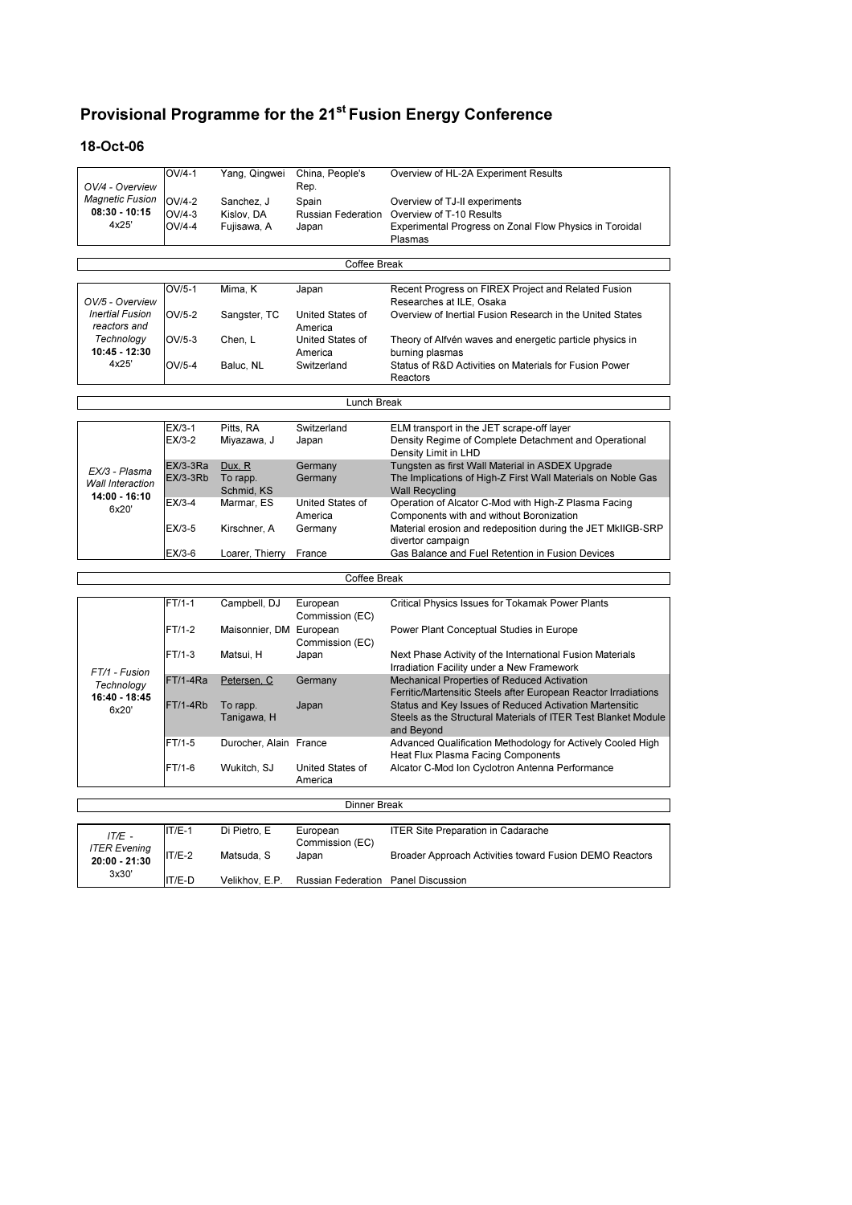$\overline{\phantom{0}}$ 

#### 18-Oct-06

| OV/4 - Overview             | OV/4-1          | Yang, Qingwei            | China, People's<br>Rep.             | Overview of HL-2A Experiment Results                                                                    |
|-----------------------------|-----------------|--------------------------|-------------------------------------|---------------------------------------------------------------------------------------------------------|
| <b>Magnetic Fusion</b>      | $OV/4-2$        |                          |                                     |                                                                                                         |
| $08:30 - 10:15$             | $OV/4-3$        | Sanchez, J<br>Kislov, DA | Spain                               | Overview of TJ-II experiments<br>Russian Federation Overview of T-10 Results                            |
| 4x25'                       | $OV/4-4$        | Fujisawa, A              | Japan                               | Experimental Progress on Zonal Flow Physics in Toroidal                                                 |
|                             |                 |                          |                                     | Plasmas                                                                                                 |
|                             |                 |                          |                                     |                                                                                                         |
|                             |                 |                          | Coffee Break                        |                                                                                                         |
|                             | $OV/5-1$        | Mima, K                  | Japan                               | Recent Progress on FIREX Project and Related Fusion                                                     |
| OV/5 - Overview             |                 |                          |                                     | Researches at ILE, Osaka                                                                                |
| <b>Inertial Fusion</b>      | OV/5-2          | Sangster, TC             | United States of                    | Overview of Inertial Fusion Research in the United States                                               |
| reactors and                |                 |                          | America                             |                                                                                                         |
| Technology                  | $OV/5-3$        | Chen, L                  | United States of                    | Theory of Alfvén waves and energetic particle physics in                                                |
| 10:45 - 12:30<br>4x25'      |                 |                          | America                             | burning plasmas                                                                                         |
|                             | $OV/5-4$        | Baluc, NL                | Switzerland                         | Status of R&D Activities on Materials for Fusion Power<br>Reactors                                      |
|                             |                 |                          |                                     |                                                                                                         |
|                             |                 |                          | <b>Lunch Break</b>                  |                                                                                                         |
|                             | $EX/3-1$        | Pitts, RA                | Switzerland                         | ELM transport in the JET scrape-off layer                                                               |
|                             | $EX/3-2$        | Miyazawa, J              | Japan                               | Density Regime of Complete Detachment and Operational                                                   |
|                             |                 |                          |                                     | Density Limit in LHD                                                                                    |
| EX/3 - Plasma               | $EX/3-3Ra$      | Dux, R                   | Germany                             | Tungsten as first Wall Material in ASDEX Upgrade                                                        |
| <b>Wall Interaction</b>     | <b>EX/3-3Rb</b> | To rapp.                 | Germany                             | The Implications of High-Z First Wall Materials on Noble Gas                                            |
| 14:00 - 16:10               | $EX/3-4$        | Schmid, KS<br>Marmar, ES | United States of                    | <b>Wall Recycling</b><br>Operation of Alcator C-Mod with High-Z Plasma Facing                           |
| 6x20'                       |                 |                          | America                             | Components with and without Boronization                                                                |
|                             | EX/3-5          | Kirschner, A             | Germany                             | Material erosion and redeposition during the JET MkIIGB-SRP                                             |
|                             |                 |                          |                                     | divertor campaign                                                                                       |
|                             | EX/3-6          | Loarer, Thierry          | France                              | Gas Balance and Fuel Retention in Fusion Devices                                                        |
|                             |                 |                          | Coffee Break                        |                                                                                                         |
|                             |                 |                          |                                     |                                                                                                         |
|                             | $FT/1-1$        | Campbell, DJ             | European<br>Commission (EC)         | Critical Physics Issues for Tokamak Power Plants                                                        |
|                             | $FT/1-2$        | Maisonnier, DM European  |                                     | Power Plant Conceptual Studies in Europe                                                                |
|                             |                 |                          | Commission (EC)                     |                                                                                                         |
|                             | $FT/1-3$        | Matsui, H                | Japan                               | Next Phase Activity of the International Fusion Materials<br>Irradiation Facility under a New Framework |
| FT/1 - Fusion               | $FT/1-4Ra$      | Petersen, C              | Germany                             | Mechanical Properties of Reduced Activation                                                             |
| Technology<br>16:40 - 18:45 |                 |                          |                                     | Ferritic/Martensitic Steels after European Reactor Irradiations                                         |
| 6x20'                       | FT/1-4Rb        | To rapp.                 | Japan                               | Status and Key Issues of Reduced Activation Martensitic                                                 |
|                             |                 | Tanigawa, H              |                                     | Steels as the Structural Materials of ITER Test Blanket Module                                          |
|                             | $FT/1-5$        | Durocher, Alain France   |                                     | and Beyond<br>Advanced Qualification Methodology for Actively Cooled High                               |
|                             |                 |                          |                                     | Heat Flux Plasma Facing Components                                                                      |
|                             | FT/1-6          | Wukitch, SJ              | United States of                    | Alcator C-Mod Ion Cyclotron Antenna Performance                                                         |
|                             |                 |                          | America                             |                                                                                                         |
|                             |                 |                          | <b>Dinner Break</b>                 |                                                                                                         |
|                             |                 |                          |                                     |                                                                                                         |
| $IT/E -$                    | $IT/E-1$        | Di Pietro, E             | European                            | <b>ITER Site Preparation in Cadarache</b>                                                               |
| <b>ITER Evening</b>         | $IT/E-2$        |                          | Commission (EC)                     |                                                                                                         |
| 20:00 - 21:30               |                 | Matsuda, S               | Japan                               | Broader Approach Activities toward Fusion DEMO Reactors                                                 |
| 3x30'                       | IT/E-D          | Velikhov, E.P.           | Russian Federation Panel Discussion |                                                                                                         |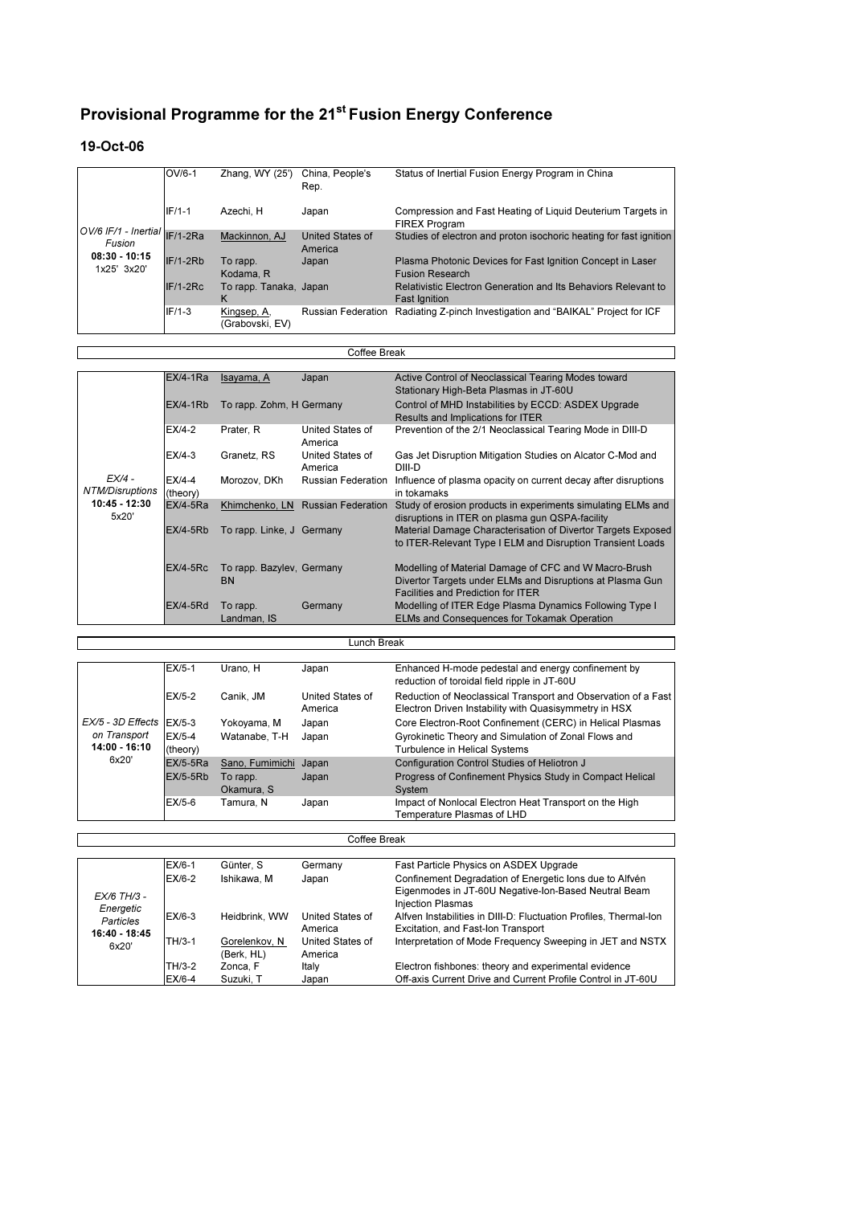#### 19-Oct-06

 $\Gamma$ 

| $\frac{10V}{6}$ IF/1 - Inertial $\frac{1}{\sqrt{12}}$ -2Ra<br>Fusion<br>$08:30 - 10:15$<br>1x25' 3x20' | $OV/6-1$   | Zhang, WY (25')                | China, People's<br>Rep.            | Status of Inertial Fusion Energy Program in China                                      |
|--------------------------------------------------------------------------------------------------------|------------|--------------------------------|------------------------------------|----------------------------------------------------------------------------------------|
|                                                                                                        | $IF/1-1$   | Azechi. H                      | Japan                              | Compression and Fast Heating of Liquid Deuterium Targets in<br><b>FIREX Program</b>    |
|                                                                                                        |            | Mackinnon, AJ                  | <b>United States of</b><br>America | Studies of electron and proton isochoric heating for fast ignition                     |
|                                                                                                        | $IF/1-2Rb$ | To rapp.<br>Kodama, R          | Japan                              | Plasma Photonic Devices for Fast Ignition Concept in Laser<br><b>Fusion Research</b>   |
|                                                                                                        | $IF/1-2RC$ | To rapp. Tanaka, Japan<br>ĸ    |                                    | Relativistic Electron Generation and Its Behaviors Relevant to<br><b>Fast Ignition</b> |
|                                                                                                        | $IF/1-3$   | Kingsep, A.<br>(Grabovski, EV) | <b>Russian Federation</b>          | Radiating Z-pinch Investigation and "BAIKAL" Project for ICF                           |

|                                    | Coffee Break          |                                        |                                   |                                                                                                                                                                 |  |  |
|------------------------------------|-----------------------|----------------------------------------|-----------------------------------|-----------------------------------------------------------------------------------------------------------------------------------------------------------------|--|--|
|                                    |                       |                                        |                                   |                                                                                                                                                                 |  |  |
|                                    | $EX/4-1Ra$            | Isayama, A                             | Japan                             | Active Control of Neoclassical Tearing Modes toward<br>Stationary High-Beta Plasmas in JT-60U                                                                   |  |  |
|                                    | $EX/4-1Rb$            | To rapp. Zohm, H Germany               |                                   | Control of MHD Instabilities by ECCD: ASDEX Upgrade<br>Results and Implications for ITER                                                                        |  |  |
|                                    | $E X/4-2$             | Prater, R                              | United States of<br>America       | Prevention of the 2/1 Neoclassical Tearing Mode in DIII-D                                                                                                       |  |  |
|                                    | $EX/4-3$              | Granetz, RS                            | United States of<br>America       | Gas Jet Disruption Mitigation Studies on Alcator C-Mod and<br>DIII-D                                                                                            |  |  |
| $FX/4 -$<br><b>NTM/Disruptions</b> | $E X/4-4$<br>(theory) | Morozov. DKh                           | <b>Russian Federation</b>         | Influence of plasma opacity on current decay after disruptions<br>in tokamaks                                                                                   |  |  |
| $10:45 - 12:30$<br>5x20'           | $EX/4-5Ra$            |                                        | Khimchenko, LN Russian Federation | Study of erosion products in experiments simulating ELMs and<br>disruptions in ITER on plasma gun QSPA-facility                                                 |  |  |
|                                    | $EX/4-5Rb$            | To rapp. Linke, J Germany              |                                   | Material Damage Characterisation of Divertor Targets Exposed<br>to ITER-Relevant Type I ELM and Disruption Transient Loads                                      |  |  |
|                                    | $EX/4-5Rc$            | To rapp. Bazyley, Germany<br><b>BN</b> |                                   | Modelling of Material Damage of CFC and W Macro-Brush<br>Divertor Targets under ELMs and Disruptions at Plasma Gun<br><b>Facilities and Prediction for ITER</b> |  |  |
|                                    | $EX/4-5Rd$            | To rapp.<br>Landman, IS                | Germany                           | Modelling of ITER Edge Plasma Dynamics Following Type I<br>ELMs and Consequences for Tokamak Operation                                                          |  |  |

|                               | Lunch Break          |                        |                             |                                                                                                                        |  |  |  |
|-------------------------------|----------------------|------------------------|-----------------------------|------------------------------------------------------------------------------------------------------------------------|--|--|--|
|                               |                      |                        |                             |                                                                                                                        |  |  |  |
|                               | $EX/5-1$             | Urano. H               | Japan                       | Enhanced H-mode pedestal and energy confinement by<br>reduction of toroidal field ripple in JT-60U                     |  |  |  |
|                               | $EX/5-2$             | Canik. JM              | United States of<br>America | Reduction of Neoclassical Transport and Observation of a Fast<br>Electron Driven Instability with Quasisymmetry in HSX |  |  |  |
| EX/5 - 3D Effects             | EX/5-3               | Yokoyama, M            | Japan                       | Core Electron-Root Confinement (CERC) in Helical Plasmas                                                               |  |  |  |
| on Transport<br>14:00 - 16:10 | $EX/5-4$<br>(theory) | Watanabe, T-H          | Japan                       | Gyrokinetic Theory and Simulation of Zonal Flows and<br>Turbulence in Helical Systems                                  |  |  |  |
| 6x20'                         | $EX/5-5Ra$           | Sano, Fumimichi Japan  |                             | Configuration Control Studies of Heliotron J                                                                           |  |  |  |
|                               | $EX/5-5Rb$           | To rapp.<br>Okamura, S | Japan                       | Progress of Confinement Physics Study in Compact Helical<br>System                                                     |  |  |  |
|                               | $EX/5-6$             | Tamura. N              | Japan                       | Impact of Nonlocal Electron Heat Transport on the High<br>Temperature Plasmas of LHD                                   |  |  |  |

| Coffee Break                                                    |          |                             |                             |                                                                                                                                             |  |  |  |  |
|-----------------------------------------------------------------|----------|-----------------------------|-----------------------------|---------------------------------------------------------------------------------------------------------------------------------------------|--|--|--|--|
|                                                                 |          |                             |                             |                                                                                                                                             |  |  |  |  |
|                                                                 | $EX/6-1$ | Günter, S                   | Germany                     | Fast Particle Physics on ASDEX Upgrade                                                                                                      |  |  |  |  |
| EX/6 TH/3 -<br>Energetic<br>Particles<br>16:40 - 18:45<br>6x20' | FX/6-2   | Ishikawa, M                 | Japan                       | Confinement Degradation of Energetic lons due to Alfvén<br>Eigenmodes in JT-60U Negative-Ion-Based Neutral Beam<br><b>Injection Plasmas</b> |  |  |  |  |
|                                                                 | $EX/6-3$ | Heidbrink, WW               | United States of<br>America | Alfven Instabilities in DIII-D: Fluctuation Profiles, Thermal-Ion<br>Excitation, and Fast-Ion Transport                                     |  |  |  |  |
|                                                                 | TH/3-1   | Gorelenkov, N<br>(Berk, HL) | United States of<br>America | Interpretation of Mode Frequency Sweeping in JET and NSTX                                                                                   |  |  |  |  |
|                                                                 | TH/3-2   | Zonca, F                    | Italy                       | Electron fishbones: theory and experimental evidence                                                                                        |  |  |  |  |
|                                                                 | $EX/6-4$ | Suzuki, T                   | Japan                       | Off-axis Current Drive and Current Profile Control in JT-60U                                                                                |  |  |  |  |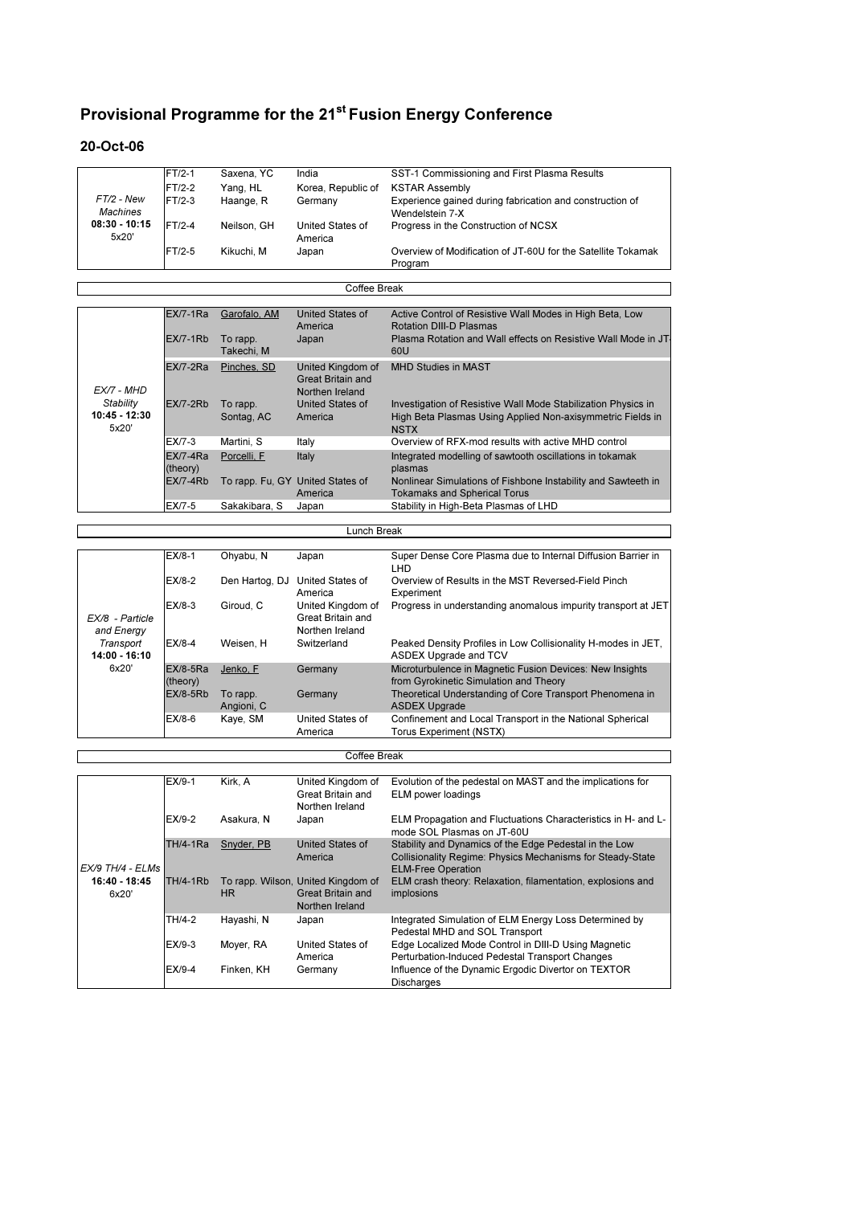#### 20-Oct-06

 $\overline{\phantom{a}}$ 

 $\Gamma$ 

|                 | $FT/2-1$ | Saxena, YC  | India              | SST-1 Commissioning and First Plasma Results                 |
|-----------------|----------|-------------|--------------------|--------------------------------------------------------------|
|                 | $FT/2-2$ | Yang, HL    | Korea, Republic of | <b>KSTAR Assembly</b>                                        |
| $FT/2$ - New    | $FT/2-3$ | Haange, R   | Germany            | Experience gained during fabrication and construction of     |
| Machines        |          |             |                    | Wendelstein 7-X                                              |
| $08:30 - 10:15$ | $FT/2-4$ | Neilson, GH | United States of   | Progress in the Construction of NCSX                         |
| 5x20'           |          |             | America            |                                                              |
|                 | $FT/2-5$ | Kikuchi, M  | Japan              | Overview of Modification of JT-60U for the Satellite Tokamak |
|                 |          |             |                    | Program                                                      |

Coffee Break

┑

 $\overline{\mathsf{I}}$ 

|                                       | $EX/7-1Ra$             | Garofalo, AM           | United States of<br>America                               | Active Control of Resistive Wall Modes in High Beta, Low<br><b>Rotation DIII-D Plasmas</b>                                                 |
|---------------------------------------|------------------------|------------------------|-----------------------------------------------------------|--------------------------------------------------------------------------------------------------------------------------------------------|
|                                       | $EX/7-1Rb$             | To rapp.<br>Takechi, M | Japan                                                     | Plasma Rotation and Wall effects on Resistive Wall Mode in JT<br>60U                                                                       |
| EX/7 - MHD                            | $EX/7-2Ra$             | Pinches, SD            | United Kingdom of<br>Great Britain and<br>Northen Ireland | <b>MHD Studies in MAST</b>                                                                                                                 |
| Stability<br>$10:45 - 12:30$<br>5x20' | $EX/7-2Rb$             | To rapp.<br>Sontag, AC | United States of<br>America                               | Investigation of Resistive Wall Mode Stabilization Physics in<br>High Beta Plasmas Using Applied Non-axisymmetric Fields in<br><b>NSTX</b> |
|                                       | EX/7-3                 | Martini, S             | Italy                                                     | Overview of RFX-mod results with active MHD control                                                                                        |
|                                       | $EX/7-4Ra$<br>(theory) | Porcelli. F            | Italy                                                     | Integrated modelling of sawtooth oscillations in tokamak<br>plasmas                                                                        |
|                                       | $EX/7-4Rb$             |                        | To rapp. Fu, GY United States of                          | Nonlinear Simulations of Fishbone Instability and Sawteeth in                                                                              |
|                                       |                        |                        | America                                                   | <b>Tokamaks and Spherical Torus</b>                                                                                                        |
|                                       | EX/7-5                 | Sakakibara, S          | Japan                                                     | Stability in High-Beta Plasmas of LHD                                                                                                      |

|                               | Lunch Break            |                        |                                                           |                                                                                                    |  |  |  |  |  |
|-------------------------------|------------------------|------------------------|-----------------------------------------------------------|----------------------------------------------------------------------------------------------------|--|--|--|--|--|
|                               |                        |                        |                                                           |                                                                                                    |  |  |  |  |  |
|                               | $EX/8-1$               | Ohyabu, N              | Japan                                                     | Super Dense Core Plasma due to Internal Diffusion Barrier in<br>LHD                                |  |  |  |  |  |
|                               | $EX/8-2$               | Den Hartog, DJ         | United States of<br>America                               | Overview of Results in the MST Reversed-Field Pinch<br>Experiment                                  |  |  |  |  |  |
| EX/8 - Particle<br>and Energy | $EX/8-3$               | Giroud, C              | United Kingdom of<br>Great Britain and<br>Northen Ireland | Progress in understanding anomalous impurity transport at JET                                      |  |  |  |  |  |
| Transport<br>$14:00 - 16:10$  | $EX/8-4$               | Weisen, H              | Switzerland                                               | Peaked Density Profiles in Low Collisionality H-modes in JET.<br><b>ASDEX Upgrade and TCV</b>      |  |  |  |  |  |
| 6x20'                         | $EX/8-5Ra$<br>(theory) | Jenko, F               | Germany                                                   | Microturbulence in Magnetic Fusion Devices: New Insights<br>from Gyrokinetic Simulation and Theory |  |  |  |  |  |
|                               | $EX/8-5Rb$             | To rapp.<br>Angioni, C | Germany                                                   | Theoretical Understanding of Core Transport Phenomena in<br><b>ASDEX Upgrade</b>                   |  |  |  |  |  |
|                               | $EX/8-6$               | Kaye, SM               | United States of<br>America                               | Confinement and Local Transport in the National Spherical<br>Torus Experiment (NSTX)               |  |  |  |  |  |

|                        | Coffee Break           |            |                                                                            |                                                                                                                                                          |  |  |  |  |
|------------------------|------------------------|------------|----------------------------------------------------------------------------|----------------------------------------------------------------------------------------------------------------------------------------------------------|--|--|--|--|
|                        |                        |            |                                                                            |                                                                                                                                                          |  |  |  |  |
|                        | $EX/9-1$               | Kirk. A    | United Kingdom of<br>Great Britain and<br>Northen Ireland                  | Evolution of the pedestal on MAST and the implications for<br><b>ELM power loadings</b>                                                                  |  |  |  |  |
|                        | $EX/9-2$<br>Asakura, N |            | Japan                                                                      | ELM Propagation and Fluctuations Characteristics in H- and L-<br>mode SOL Plasmas on JT-60U                                                              |  |  |  |  |
| EX/9 TH/4 - ELMs       | <b>TH/4-1Ra</b>        | Snyder, PB | United States of<br>America                                                | Stability and Dynamics of the Edge Pedestal in the Low<br><b>Collisionality Regime: Physics Mechanisms for Steady-State</b><br><b>ELM-Free Operation</b> |  |  |  |  |
| 16:40 - 18:45<br>6x20' | <b>TH/4-1Rb</b>        | HR.        | To rapp. Wilson, United Kingdom of<br>Great Britain and<br>Northen Ireland | ELM crash theory: Relaxation, filamentation, explosions and<br>implosions                                                                                |  |  |  |  |
|                        | TH/4-2                 | Hayashi, N | Japan                                                                      | Integrated Simulation of ELM Energy Loss Determined by<br>Pedestal MHD and SOL Transport                                                                 |  |  |  |  |
|                        | $EX/9-3$               | Moyer, RA  | United States of<br>America                                                | Edge Localized Mode Control in DIII-D Using Magnetic<br>Perturbation-Induced Pedestal Transport Changes                                                  |  |  |  |  |
|                        | $EX/9-4$               | Finken, KH | Germany                                                                    | Influence of the Dynamic Ergodic Divertor on TEXTOR<br><b>Discharges</b>                                                                                 |  |  |  |  |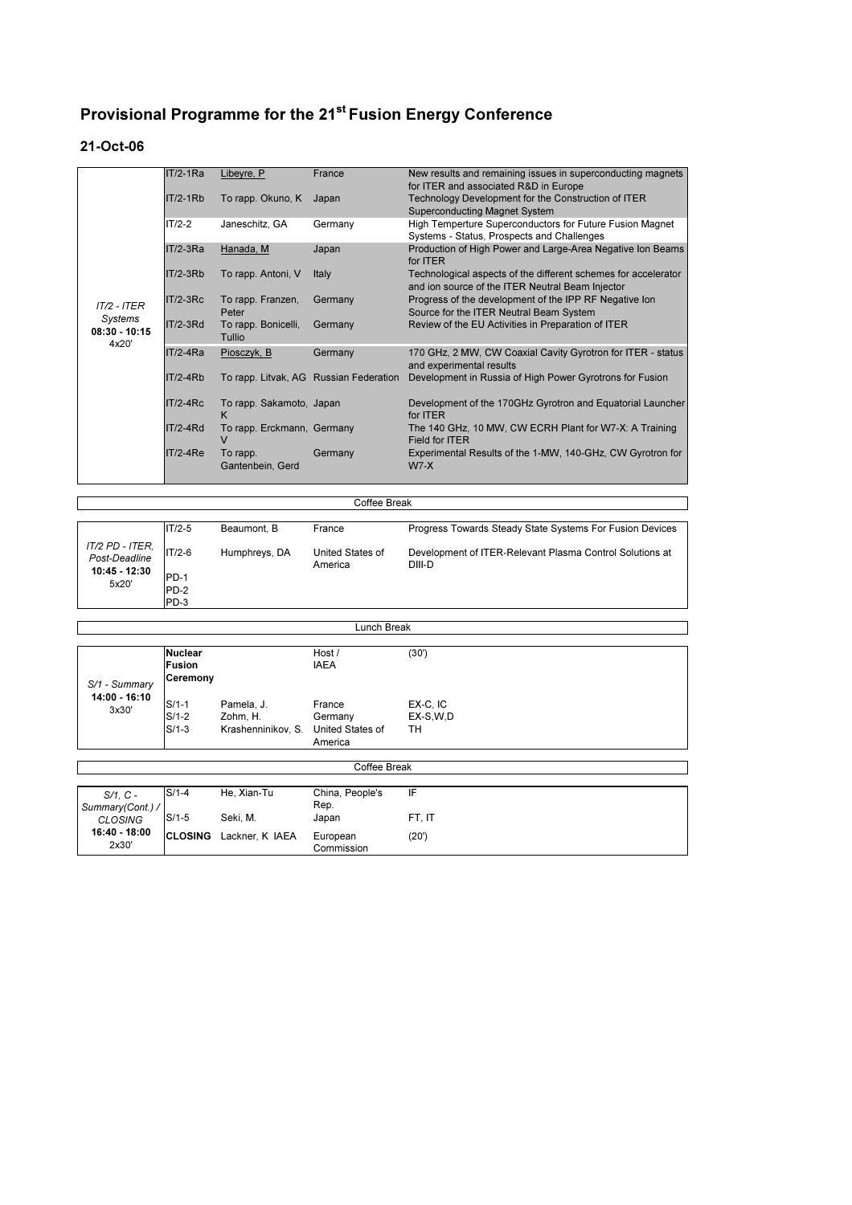#### 21-Oct-06

 $\mathbf{I}$ 

|                                     | $IT/2-1Ra$      | Libeyre, P                      | France                                 | New results and remaining issues in superconducting magnets                                                        |
|-------------------------------------|-----------------|---------------------------------|----------------------------------------|--------------------------------------------------------------------------------------------------------------------|
|                                     |                 |                                 |                                        | for ITER and associated R&D in Europe                                                                              |
|                                     | $IT/2-1Rb$      | To rapp. Okuno, K               | Japan                                  | Technology Development for the Construction of ITER                                                                |
|                                     |                 |                                 |                                        | <b>Superconducting Magnet System</b>                                                                               |
|                                     | $IT/2-2$        | Janeschitz, GA                  | Germany                                | High Temperture Superconductors for Future Fusion Magnet<br>Systems - Status, Prospects and Challenges             |
|                                     | $IT/2-3Ra$      | Hanada, M                       | Japan                                  | Production of High Power and Large-Area Negative Ion Beams<br>for ITER                                             |
|                                     | $IT/2-3Rb$      | To rapp. Antoni, V              | Italy                                  | Technological aspects of the different schemes for accelerator<br>and ion source of the ITER Neutral Beam Injector |
|                                     | IT/2-3Rc        | To rapp. Franzen,               | Germany                                | Progress of the development of the IPP RF Negative Ion                                                             |
| $IT/2 - ITER$                       |                 | Peter                           |                                        | Source for the ITER Neutral Beam System                                                                            |
| Systems<br>$08:30 - 10:15$<br>4x20' | <b>IT/2-3Rd</b> | To rapp. Bonicelli,<br>Tullio   | Germany                                | Review of the EU Activities in Preparation of ITER                                                                 |
|                                     | $IT/2-4Ra$      | Piosczyk, B                     | Germany                                | 170 GHz, 2 MW, CW Coaxial Cavity Gyrotron for ITER - status<br>and experimental results                            |
|                                     | $IT/2-4Rb$      |                                 | To rapp. Litvak, AG Russian Federation | Development in Russia of High Power Gyrotrons for Fusion                                                           |
|                                     | $IT/2-4Rc$      | To rapp. Sakamoto, Japan<br>K   |                                        | Development of the 170GHz Gyrotron and Equatorial Launcher<br>for <b>ITER</b>                                      |
|                                     | IT/2-4Rd        | To rapp. Erckmann, Germany<br>v |                                        | The 140 GHz, 10 MW, CW ECRH Plant for W7-X: A Training<br>Field for <b>ITER</b>                                    |
|                                     | $IT/2-4Re$      | To rapp.<br>Gantenbein, Gerd    | Germany                                | Experimental Results of the 1-MW, 140-GHz, CW Gyrotron for<br>$W7-X$                                               |

|                                                            | Coffee Break                         |                              |                                       |                                                                                                                                |  |  |  |  |  |
|------------------------------------------------------------|--------------------------------------|------------------------------|---------------------------------------|--------------------------------------------------------------------------------------------------------------------------------|--|--|--|--|--|
| IT/2 PD - ITER,<br>Post-Deadline<br>10:45 - 12:30<br>5x20' | $IT/2-5$<br>$IT/2-6$<br>PD-1<br>PD-2 | Beaumont. B<br>Humphreys, DA | France<br>United States of<br>America | Progress Towards Steady State Systems For Fusion Devices<br>Development of ITER-Relevant Plasma Control Solutions at<br>DIII-D |  |  |  |  |  |
|                                                            | PD-3                                 |                              |                                       |                                                                                                                                |  |  |  |  |  |

| Lunch Break |  |
|-------------|--|

| S/1 - Summary<br>14:00 - 16:10<br>3x30' | Nuclear<br>Fusion<br>Ceremony |                                                               | Host/<br><b>IAEA</b>         | (30')                        |  |
|-----------------------------------------|-------------------------------|---------------------------------------------------------------|------------------------------|------------------------------|--|
|                                         | $S/1-1$<br>$S/1-2$<br>$S/1-3$ | Pamela, J.<br>Zohm, H.<br>Krashenninikov, S. United States of | France<br>Germany<br>America | EX-C, IC<br>EX-S, W, D<br>тн |  |

|                        | Coffee Break |                                |                        |        |  |  |  |  |  |
|------------------------|--------------|--------------------------------|------------------------|--------|--|--|--|--|--|
|                        |              |                                |                        |        |  |  |  |  |  |
| S/1, C -               | $S/1-4$      | He, Xian-Tu                    | China, People's        | ΙF     |  |  |  |  |  |
| Summary(Cont.) /       |              |                                | Rep.                   |        |  |  |  |  |  |
| CLOSING                | $S/1-5$      | Seki, M.                       | Japan                  | FT. IT |  |  |  |  |  |
| 16:40 - 18:00<br>2x30' |              | <b>CLOSING</b> Lackner, K IAEA | European<br>Commission | (20')  |  |  |  |  |  |